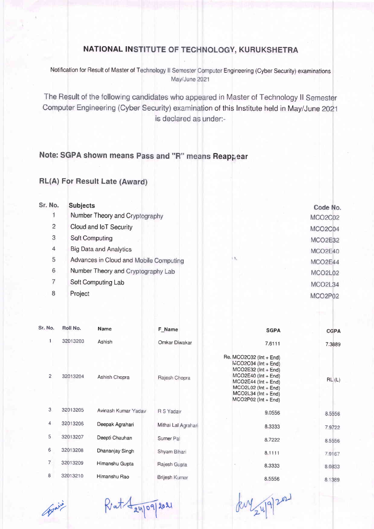## NATIONAL INSTITUTE OF TECHNOLOGY, KURUKSHETRA

Notification for Result of Master of T Engineering (Cyber Security) examinations May/June 2021

The Result of the following candidates who appeared in Master of Technology II Semester Computer Engineering (Cyber Security) examination of this Institute held in May/June 2021 is declared as under:-

## Note: SGPA shown means Reappear

## RL(A) For Result Late

| Sr. No.        | <b>Subjects</b>                        |           | Code No. |
|----------------|----------------------------------------|-----------|----------|
|                | Number Theory and Cryptography         |           | MCO2C02  |
| $\overline{a}$ | Cloud and IoT Security                 |           | MCO2C04  |
| 3              | <b>Soft Computing</b>                  |           | MCO2E32  |
| $\overline{4}$ | <b>Big Data and Analytics</b>          |           | MCO2E40  |
| 5              | Advances in Cloud and Mobile Computing | <b>A.</b> | MCO2E44  |
| 6              | Number Theory and Cryptography Lab     |           | MCO2L02  |
|                | Soft Computing Lab                     |           | MCO2L34  |
| 8              | Project                                |           | MCO2P02  |
|                |                                        |           |          |

| Sr. No.        | Roll No. | <b>Name</b>         | F_Name              | <b>SGPA</b>                                                                                                                                                                                                | <b>CGPA</b> |
|----------------|----------|---------------------|---------------------|------------------------------------------------------------------------------------------------------------------------------------------------------------------------------------------------------------|-------------|
| 1.             | 32013203 | Ashish              | Omkar Diwakar       | 7.6111                                                                                                                                                                                                     | 7.3889      |
| $\overline{2}$ | 32013204 | Ashish Chopra       | Rajesh Chopra       | Re. MCO2C02 (Int + End)<br>$WCO2CO4$ (Int + End)<br>$MCO2E32$ (Int + End)<br>$MCO2E40$ (Int + End)<br>$MCO2E44$ (Int + End)<br>$MCO2L02$ (Int + End)<br>$MCO2L34$ ( $Int + End$ )<br>$MCO2P02$ (Int + End) | RL(L)       |
| 3              | 32013205 | Avinash Kumar Yadav | R S Yadav           | 9.0556                                                                                                                                                                                                     | 8.5556      |
| 4              | 32013206 | Deepak Agrahari     | Mithai Lal Agrahari | 8.3333                                                                                                                                                                                                     | 7.9722      |
| 5              | 32013207 | Deepti Chauhan      | Sumer Pal           | 8,7222                                                                                                                                                                                                     | 8.5556      |
| 6              | 32013208 | Dhananjay Singh     | Shyam Bihari        | 8.1111                                                                                                                                                                                                     | 7.9167      |
| $\overline{7}$ | 32013209 | Himanshu Gupta      | Rajesh Gupta        | 8.3333                                                                                                                                                                                                     | 8.0833      |
| 8              | 32013210 | Himanshu Rao        | Brijesh Kumar       | 8.5556                                                                                                                                                                                                     | 8.1389      |

 $A^{\text{pair}}$ 

I' 9/2021

kuy 24/9/2021